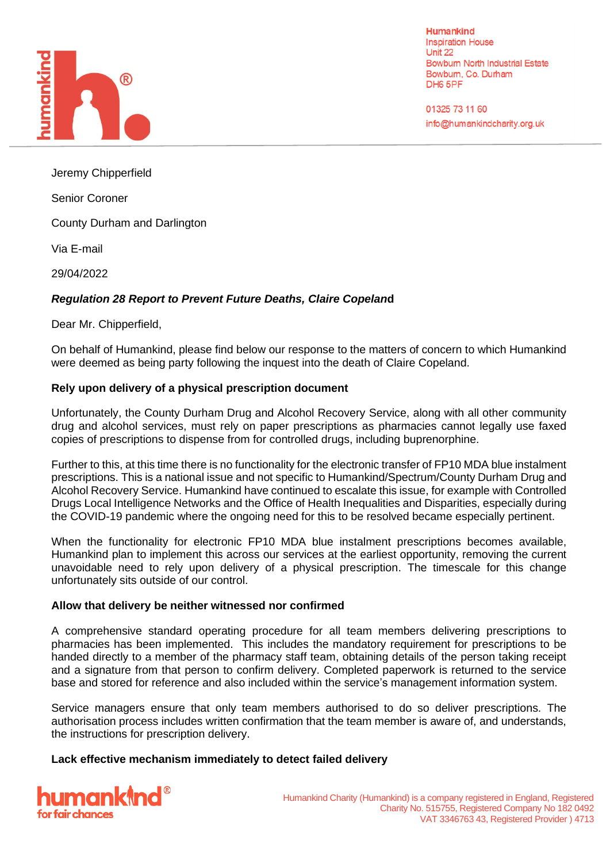

**Humankind Inspiration House** Unit 22 **Bowbum North Industrial Estate** Bowbum, Co. Durham DH6 5PF

01325 73 11 60 info@humankindcharity.org.uk

Jeremy Chipperfield

Senior Coroner

County Durham and Darlington

Via E-mail

29/04/2022

# *Regulation 28 Report to Prevent Future Deaths, Claire Copelan***d**

Dear Mr. Chipperfield,

On behalf of Humankind, please find below our response to the matters of concern to which Humankind were deemed as being party following the inquest into the death of Claire Copeland.

## **Rely upon delivery of a physical prescription document**

Unfortunately, the County Durham Drug and Alcohol Recovery Service, along with all other community drug and alcohol services, must rely on paper prescriptions as pharmacies cannot legally use faxed copies of prescriptions to dispense from for controlled drugs, including buprenorphine.

Further to this, at this time there is no functionality for the electronic transfer of FP10 MDA blue instalment prescriptions. This is a national issue and not specific to Humankind/Spectrum/County Durham Drug and Alcohol Recovery Service. Humankind have continued to escalate this issue, for example with Controlled Drugs Local Intelligence Networks and the Office of Health Inequalities and Disparities, especially during the COVID-19 pandemic where the ongoing need for this to be resolved became especially pertinent.

When the functionality for electronic FP10 MDA blue instalment prescriptions becomes available, Humankind plan to implement this across our services at the earliest opportunity, removing the current unavoidable need to rely upon delivery of a physical prescription. The timescale for this change unfortunately sits outside of our control.

## **Allow that delivery be neither witnessed nor confirmed**

A comprehensive standard operating procedure for all team members delivering prescriptions to pharmacies has been implemented. This includes the mandatory requirement for prescriptions to be handed directly to a member of the pharmacy staff team, obtaining details of the person taking receipt and a signature from that person to confirm delivery. Completed paperwork is returned to the service base and stored for reference and also included within the service's management information system.

Service managers ensure that only team members authorised to do so deliver prescriptions. The authorisation process includes written confirmation that the team member is aware of, and understands, the instructions for prescription delivery.

## **Lack effective mechanism immediately to detect failed delivery**